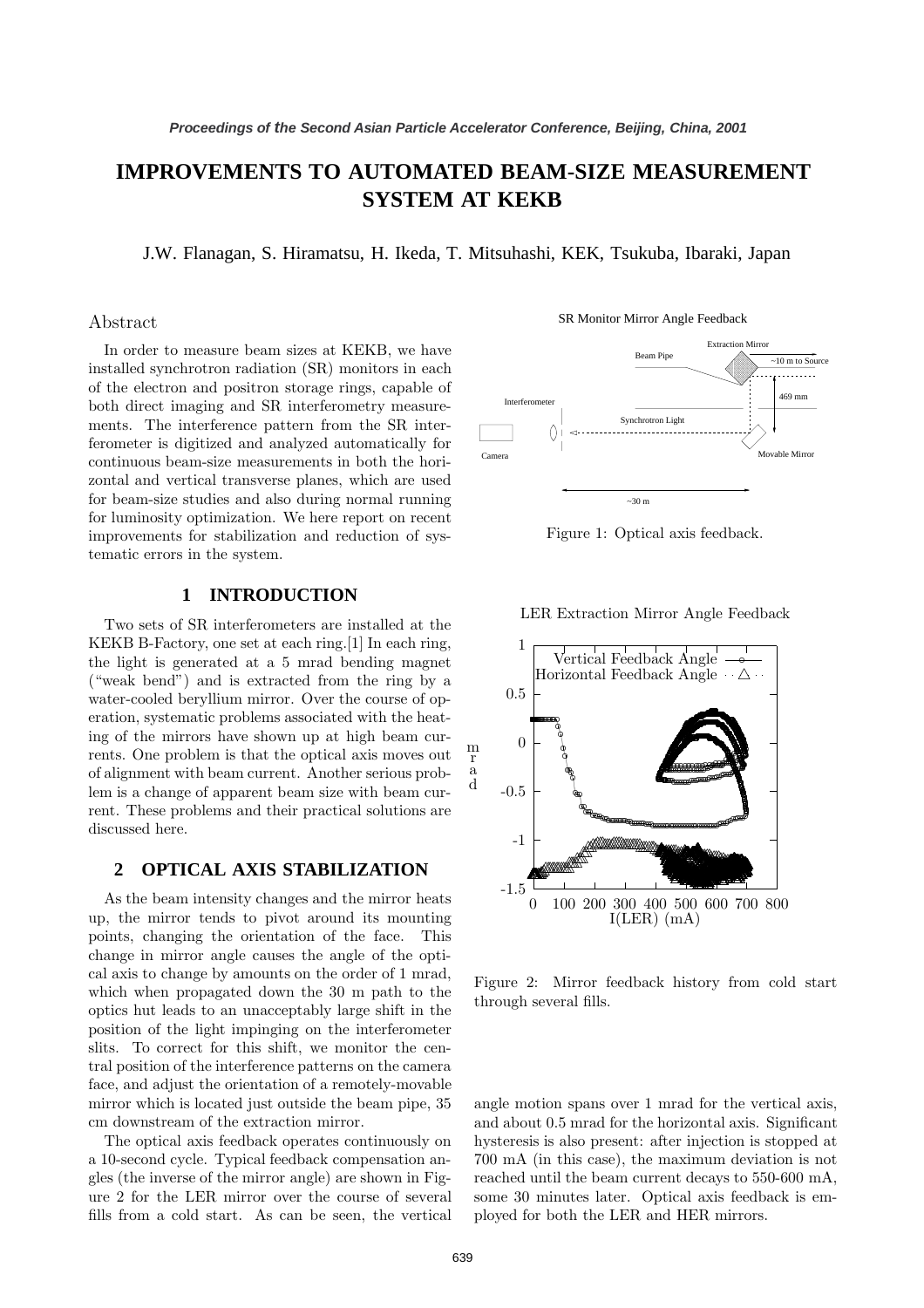# **IMPROVEMENTS TO AUTOMATED BEAM-SIZE MEASUREMENT SYSTEM AT KEKB**

J.W. Flanagan, S. Hiramatsu, H. Ikeda, T. Mitsuhashi, KEK, Tsukuba, Ibaraki, Japan

## Abstract

In order to measure beam sizes at KEKB, we have installed synchrotron radiation (SR) monitors in each of the electron and positron storage rings, capable of both direct imaging and SR interferometry measurements. The interference pattern from the SR interferometer is digitized and analyzed automatically for continuous beam-size measurements in both the horizontal and vertical transverse planes, which are used for beam-size studies and also during normal running for luminosity optimization. We here report on recent improvements for stabilization and reduction of systematic errors in the system.

## **1 INTRODUCTION**

Two sets of SR interferometers are installed at the KEKB B-Factory, one set at each ring.[1] In each ring, the light is generated at a 5 mrad bending magnet ("weak bend") and is extracted from the ring by a water-cooled beryllium mirror. Over the course of operation, systematic problems associated with the heating of the mirrors have shown up at high beam currents. One problem is that the optical axis moves out of alignment with beam current. Another serious problem is a change of apparent beam size with beam current. These problems and their practical solutions are discussed here.

### **2 OPTICAL AXIS STABILIZATION**

As the beam intensity changes and the mirror heats up, the mirror tends to pivot around its mounting points, changing the orientation of the face. This change in mirror angle causes the angle of the optical axis to change by amounts on the order of 1 mrad, which when propagated down the 30 m path to the optics hut leads to an unacceptably large shift in the position of the light impinging on the interferometer slits. To correct for this shift, we monitor the central position of the interference patterns on the camera face, and adjust the orientation of a remotely-movable mirror which is located just outside the beam pipe, 35 cm downstream of the extraction mirror.

The optical axis feedback operates continuously on a 10-second cycle. Typical feedback compensation angles (the inverse of the mirror angle) are shown in Figure 2 for the LER mirror over the course of several fills from a cold start. As can be seen, the vertical SR Monitor Mirror Angle Feedback



Figure 1: Optical axis feedback.

LER Extraction Mirror Angle Feedback



Figure 2: Mirror feedback history from cold start through several fills.

angle motion spans over 1 mrad for the vertical axis, and about 0.5 mrad for the horizontal axis. Significant hysteresis is also present: after injection is stopped at 700 mA (in this case), the maximum deviation is not reached until the beam current decays to 550-600 mA, some 30 minutes later. Optical axis feedback is employed for both the LER and HER mirrors.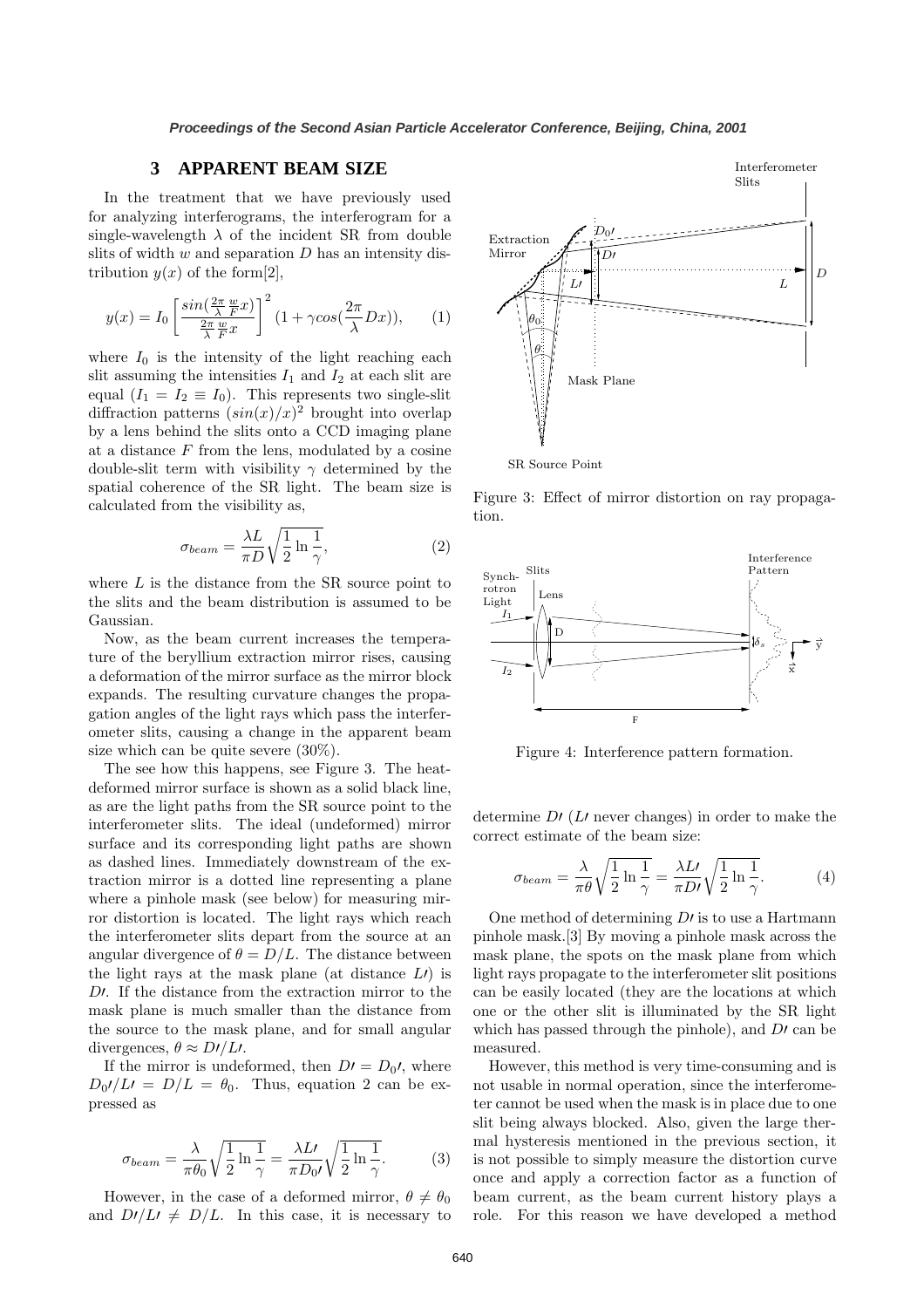### **3 APPARENT BEAM SIZE**

In the treatment that we have previously used for analyzing interferograms, the interferogram for a single-wavelength  $\lambda$  of the incident SR from double slits of width  $w$  and separation  $D$  has an intensity distribution  $y(x)$  of the form  $[2]$ ,

$$
y(x) = I_0 \left[ \frac{\sin(\frac{2\pi}{\lambda} \frac{w}{F} x)}{\frac{2\pi}{\lambda} \frac{w}{F} x} \right]^2 (1 + \gamma \cos(\frac{2\pi}{\lambda} Dx)), \quad (1)
$$

where  $I_0$  is the intensity of the light reaching each slit assuming the intensities  $I_1$  and  $I_2$  at each slit are equal  $(I_1 = I_2 \equiv I_0)$ . This represents two single-slit diffraction patterns  $(sin(x)/x)^2$  brought into overlap by a lens behind the slits onto a CCD imaging plane at a distance  $F$  from the lens, modulated by a cosine double-slit term with visibility  $\gamma$  determined by the spatial coherence of the SR light. The beam size is calculated from the visibility as,

$$
\sigma_{beam} = \frac{\lambda L}{\pi D} \sqrt{\frac{1}{2} \ln \frac{1}{\gamma}},\tag{2}
$$

where  $L$  is the distance from the SR source point to the slits and the beam distribution is assumed to be Gaussian.

Now, as the beam current increases the temperature of the beryllium extraction mirror rises, causing a deformation of the mirror surface as the mirror block expands. The resulting curvature changes the propagation angles of the light rays which pass the interferometer slits, causing a change in the apparent beam size which can be quite severe (30%).

The see how this happens, see Figure 3. The heatdeformed mirror surface is shown as a solid black line, as are the light paths from the SR source point to the interferometer slits. The ideal (undeformed) mirror surface and its corresponding light paths are shown as dashed lines. Immediately downstream of the extraction mirror is a dotted line representing a plane where a pinhole mask (see below) for measuring mirror distortion is located. The light rays which reach the interferometer slits depart from the source at an angular divergence of  $\theta = D/L$ . The distance between the light rays at the mask plane (at distance  $L$ ) is  $D^{\prime}$ . If the distance from the extraction mirror to the mask plane is much smaller than the distance from the source to the mask plane, and for small angular divergences,  $\theta \approx D/LL$ .

If the mirror is undeformed, then  $D' = D_0'$ , where  $D_0I/LI = D/L = \theta_0$ . Thus, equation 2 can be expressed as

$$
\sigma_{beam} = \frac{\lambda}{\pi \theta_0} \sqrt{\frac{1}{2} \ln \frac{1}{\gamma}} = \frac{\lambda L}{\pi D_0 \sqrt{\frac{1}{2} \ln \frac{1}{\gamma}}}.
$$
 (3)

However, in the case of a deformed mirror,  $\theta \neq \theta_0$ and  $D^{\prime}/L^{\prime} \neq D/L$ . In this case, it is necessary to

Extraction Mirror L  $\overline{D}$  $L<sub>1</sub>$ Interferometer Slits D Mask Plane  $D_0$ θ  $\theta_0$ 

SR Source Point

Figure 3: Effect of mirror distortion on ray propagation.



Figure 4: Interference pattern formation.

determine  $D$  (L never changes) in order to make the correct estimate of the beam size:

$$
\sigma_{beam} = \frac{\lambda}{\pi \theta} \sqrt{\frac{1}{2} \ln \frac{1}{\gamma}} = \frac{\lambda L}{\pi D} \sqrt{\frac{1}{2} \ln \frac{1}{\gamma}}.
$$
 (4)

One method of determining  $D<sub>I</sub>$  is to use a Hartmann pinhole mask.[3] By moving a pinhole mask across the mask plane, the spots on the mask plane from which light rays propagate to the interferometer slit positions can be easily located (they are the locations at which one or the other slit is illuminated by the SR light which has passed through the pinhole), and  $D<sup>t</sup>$  can be measured.

However, this method is very time-consuming and is not usable in normal operation, since the interferometer cannot be used when the mask is in place due to one slit being always blocked. Also, given the large thermal hysteresis mentioned in the previous section, it is not possible to simply measure the distortion curve once and apply a correction factor as a function of beam current, as the beam current history plays a role. For this reason we have developed a method